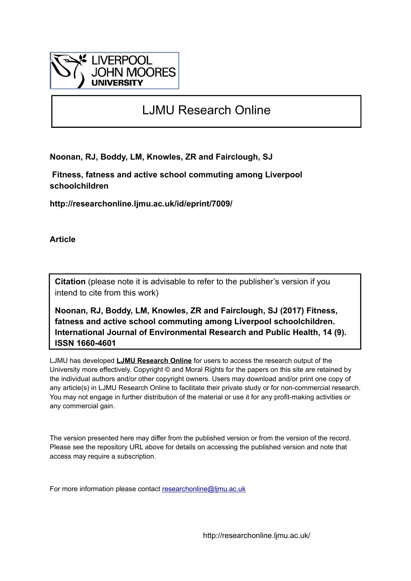

## LJMU Research Online

**Noonan, RJ, Boddy, LM, Knowles, ZR and Fairclough, SJ**

 **Fitness, fatness and active school commuting among Liverpool schoolchildren**

**http://researchonline.ljmu.ac.uk/id/eprint/7009/**

**Article**

**Citation** (please note it is advisable to refer to the publisher's version if you intend to cite from this work)

**Noonan, RJ, Boddy, LM, Knowles, ZR and Fairclough, SJ (2017) Fitness, fatness and active school commuting among Liverpool schoolchildren. International Journal of Environmental Research and Public Health, 14 (9). ISSN 1660-4601** 

LJMU has developed **[LJMU Research Online](http://researchonline.ljmu.ac.uk/)** for users to access the research output of the University more effectively. Copyright © and Moral Rights for the papers on this site are retained by the individual authors and/or other copyright owners. Users may download and/or print one copy of any article(s) in LJMU Research Online to facilitate their private study or for non-commercial research. You may not engage in further distribution of the material or use it for any profit-making activities or any commercial gain.

The version presented here may differ from the published version or from the version of the record. Please see the repository URL above for details on accessing the published version and note that access may require a subscription.

For more information please contact [researchonline@ljmu.ac.uk](mailto:researchonline@ljmu.ac.uk)

http://researchonline.ljmu.ac.uk/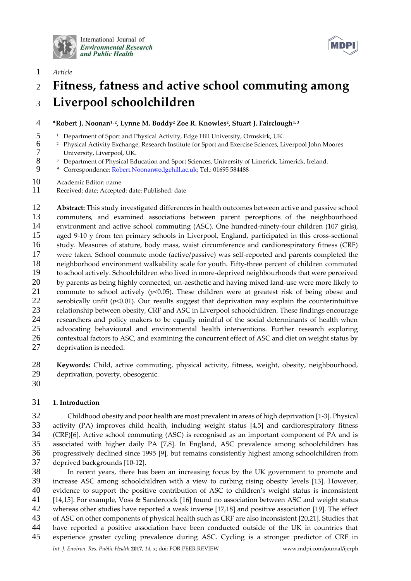

International Journal of **Environmental Research** and Public Health



*Article*

# **Fitness, fatness and active school commuting among Liverpool schoolchildren**

## **\*Robert J. Noonan1, <sup>2</sup> , Lynne M. Boddy<sup>2</sup> Zoe R. Knowles<sup>2</sup> , Stuart J. Fairclough1, <sup>3</sup>**

- <sup>1</sup> Department of Sport and Physical Activity, Edge Hill University, Ormskirk, UK.
- <sup>2</sup> Physical Activity Exchange, Research Institute for Sport and Exercise Sciences, Liverpool John Moores University, Liverpool, UK.
- 8 3 Department of Physical Education and Sport Sciences, University of Limerick, Limerick, Ireland.<br>9 \* Correspondence: Robert. Noonan@edgehill.ac.uk: Tel.: 01695 584488
- **\*** Correspondence: [Robert.Noonan@edgehill.ac.uk;](mailto:Robert.Noonan@edgehill.ac.uk) Tel.: 01695 584488
- Academic Editor: name
- Received: date; Accepted: date; Published: date

 **Abstract:** This study investigated differences in health outcomes between active and passive school commuters, and examined associations between parent perceptions of the neighbourhood environment and active school commuting (ASC). One hundred-ninety-four children (107 girls), aged 9-10 y from ten primary schools in Liverpool, England, participated in this cross-sectional study. Measures of stature, body mass, waist circumference and cardiorespiratory fitness (CRF) were taken. School commute mode (active/passive) was self-reported and parents completed the neighborhood environment walkability scale for youth. Fifty-three percent of children commuted to school actively. Schoolchildren who lived in more-deprived neighbourhoods that were perceived 20 by parents as being highly connected, un-aesthetic and having mixed land-use were more likely to commute to school actively (*p*<0.05). These children were at greatest risk of being obese and aerobically unfit (*p*<0.01). Our results suggest that deprivation may explain the counterintuitive relationship between obesity, CRF and ASC in Liverpool schoolchildren. These findings encourage researchers and policy makers to be equally mindful of the social determinants of health when advocating behavioural and environmental health interventions. Further research exploring 26 contextual factors to ASC, and examining the concurrent effect of ASC and diet on weight status by deprivation is needed.

 **Keywords:** Child, active commuting, physical activity, fitness, weight, obesity, neighbourhood, deprivation, poverty, obesogenic.

## **1. Introduction**

 Childhood obesity and poor health are most prevalent in areas of high deprivation [1-3]. Physical activity (PA) improves child health, including weight status [4,5] and cardiorespiratory fitness (CRF)[6]. Active school commuting (ASC) is recognised as an important component of PA and is associated with higher daily PA [7,8]. In England, ASC prevalence among schoolchildren has progressively declined since 1995 [9], but remains consistently highest among schoolchildren from deprived backgrounds [10-12].

*Int. J. Environ. Res. Public Health* **2017**, *14*, x; doi: FOR PEER REVIEW www.mdpi.com/journal/ijerph In recent years, there has been an increasing focus by the UK government to promote and increase ASC among schoolchildren with a view to curbing rising obesity levels [13]. However, evidence to support the positive contribution of ASC to children's weight status is inconsistent [14,15]. For example, Voss & Sandercock [16] found no association between ASC and weight status whereas other studies have reported a weak inverse [17,18] and positive association [19]. The effect of ASC on other components of physical health such as CRF are also inconsistent [20,21]. Studies that have reported a positive association have been conducted outside of the UK in countries that experience greater cycling prevalence during ASC. Cycling is a stronger predictor of CRF in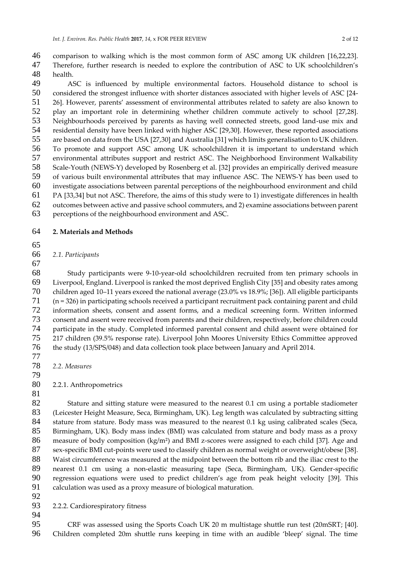46 comparison to walking which is the most common form of ASC among UK children [16,22,23].<br>47 Therefore, further research is needed to explore the contribution of ASC to UK schoolchildren's Therefore, further research is needed to explore the contribution of ASC to UK schoolchildren's health.

 ASC is influenced by multiple environmental factors. Household distance to school is considered the strongest influence with shorter distances associated with higher levels of ASC [24- 26]. However, parents' assessment of environmental attributes related to safety are also known to play an important role in determining whether children commute actively to school [27,28]. Neighbourhoods perceived by parents as having well connected streets, good land-use mix and residential density have been linked with higher ASC [29,30]. However, these reported associations are based on data from the USA [27,30] and Australia [31] which limits generalisation to UK children. To promote and support ASC among UK schoolchildren it is important to understand which environmental attributes support and restrict ASC. The Neighborhood Environment Walkability Scale-Youth (NEWS-Y) developed by Rosenberg et al. [32] provides an empirically derived measure of various built environmental attributes that may influence ASC. The NEWS-Y has been used to investigate associations between parental perceptions of the neighbourhood environment and child PA [33,34] but not ASC. Therefore, the aims of this study were to 1) investigate differences in health outcomes between active and passive school commuters, and 2) examine associations between parent

perceptions of the neighbourhood environment and ASC.

## **2. Materials and Methods**

#### *2.1. Participants*

 Study participants were 9-10-year-old schoolchildren recruited from ten primary schools in Liverpool, England. Liverpool is ranked the most deprived English City [35] and obesity rates among children aged 10–11 years exceed the national average (23.0% vs 18.9%; [36]). All eligible participants (n = 326) in participating schools received a participant recruitment pack containing parent and child information sheets, consent and assent forms, and a medical screening form. Written informed consent and assent were received from parents and their children, respectively, before children could participate in the study. Completed informed parental consent and child assent were obtained for 217 children (39.5% response rate). Liverpool John Moores University Ethics Committee approved the study (13/SPS/048) and data collection took place between January and April 2014.

*2.2. Measures*

2.2.1. Anthropometrics

82 Stature and sitting stature were measured to the nearest 0.1 cm using a portable stadiometer<br>83 (Leicester Height Measure, Seca, Birmingham, UK), Leg length was calculated by subtracting sitting (Leicester Height Measure, Seca, Birmingham, UK). Leg length was calculated by subtracting sitting 84 stature from stature. Body mass was measured to the nearest 0.1 kg using calibrated scales (Seca, Birmingham, UK). Body mass index (BMI) was calculated from stature and body mass as a proxy 86 measure of body composition (kg/m<sup>2</sup>) and BMI z-scores were assigned to each child [37]. Age and sex-specific BMI cut-points were used to classify children as normal weight or overweight/obese [38]. 88 Waist circumference was measured at the midpoint between the bottom rib and the iliac crest to the<br>89 nearest 0.1 cm using a non-elastic measuring tape (Seca, Birmingham, UK). Gender-specific nearest 0.1 cm using a non-elastic measuring tape (Seca, Birmingham, UK). Gender-specific 90 regression equations were used to predict children's age from peak height velocity [39]. This<br>91 calculation was used as a proxy measure of biological maturation. calculation was used as a proxy measure of biological maturation.

2.2.2. Cardiorespiratory fitness

 CRF was assessed using the Sports Coach UK 20 m multistage shuttle run test (20mSRT; [40]. Children completed 20m shuttle runs keeping in time with an audible 'bleep' signal. The time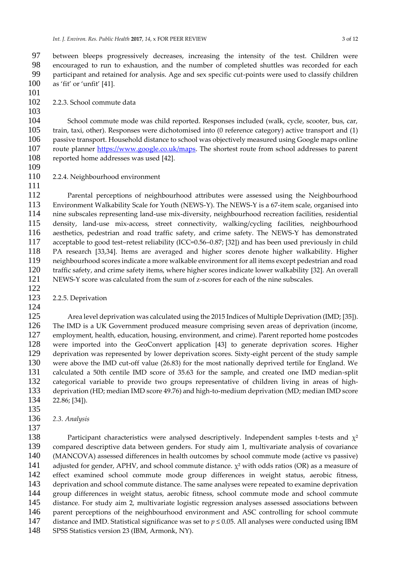97 between bleeps progressively decreases, increasing the intensity of the test. Children were<br>98 encouraged to run to exhaustion, and the number of completed shuttles was recorded for each encouraged to run to exhaustion, and the number of completed shuttles was recorded for each participant and retained for analysis. Age and sex specific cut-points were used to classify children as 'fit' or 'unfit' [41].

2.2.3. School commute data

 School commute mode was child reported. Responses included (walk, cycle, scooter, bus, car, train, taxi, other). Responses were dichotomised into (0 reference category) active transport and (1) passive transport. Household distance to school was objectively measured using Google maps online route planner [https://www.google.co.uk/maps.](https://www.google.co.uk/maps) The shortest route from school addresses to parent reported home addresses was used [42].

 2.2.4. Neighbourhood environment 

 Parental perceptions of neighbourhood attributes were assessed using the Neighbourhood Environment Walkability Scale for Youth (NEWS-Y). The NEWS-Y is a 67-item scale, organised into nine subscales representing land-use mix-diversity, neighbourhood recreation facilities, residential 115 density, land-use mix-access, street connectivity, walking/cycling facilities, neighbourhood<br>116 aesthetics pedestrian and road traffic safety, and crime safety. The NEWS-Y has demonstrated aesthetics, pedestrian and road traffic safety, and crime safety. The NEWS-Y has demonstrated acceptable to good test–retest reliability (ICC=0.56–0.87; [32]) and has been used previously in child 118 PA research [33,34]. Items are averaged and higher scores denote higher walkability. Higher<br>119 neighbourhood scores indicate a more walkable environment for all items except pedestrian and road neighbourhood scores indicate a more walkable environment for all items except pedestrian and road 120 traffic safety, and crime safety items, where higher scores indicate lower walkability [32]. An overall 121 NEWS-Y score was calculated from the sum of z-scores for each of the nine subscales. NEWS-Y score was calculated from the sum of z-scores for each of the nine subscales.

2.2.5. Deprivation

 Area level deprivation was calculated using the 2015 Indices of Multiple Deprivation (IMD; [35]). The IMD is a UK Government produced measure comprising seven areas of deprivation (income, 127 employment, health, education, housing, environment, and crime). Parent reported home postcodes<br>128 were imported into the GeoConvert application [43] to generate deprivation scores. Higher were imported into the GeoConvert application [43] to generate deprivation scores. Higher deprivation was represented by lower deprivation scores. Sixty-eight percent of the study sample were above the IMD cut-off value (26.83) for the most nationally deprived tertile for England. We calculated a 50th centile IMD score of 35.63 for the sample, and created one IMD median-split 132 categorical variable to provide two groups representative of children living in areas of high-<br>133 deprivation (HD: median IMD score 49.76) and high-to-medium deprivation (MD: median IMD score deprivation (HD; median IMD score 49.76) and high-to-medium deprivation (MD; median IMD score 22.86; [34]).

*2.3. Analysis*

138 Participant characteristics were analysed descriptively. Independent samples t-tests and  $\chi^2$  compared descriptive data between genders. For study aim 1, multivariate analysis of covariance (MANCOVA) assessed differences in health outcomes by school commute mode (active vs passive) 141 adjusted for gender, APHV, and school commute distance.  $\chi^2$  with odds ratios (OR) as a measure of effect examined school commute mode group differences in weight status, aerobic fitness, deprivation and school commute distance. The same analyses were repeated to examine deprivation group differences in weight status, aerobic fitness, school commute mode and school commute distance. For study aim 2, multivariate logistic regression analyses assessed associations between 146 parent perceptions of the neighbourhood environment and ASC controlling for school commute distance and IMD. Statistical significance was set to *p* ≤ 0.05. All analyses were conducted using IBM SPSS Statistics version 23 (IBM, Armonk, NY).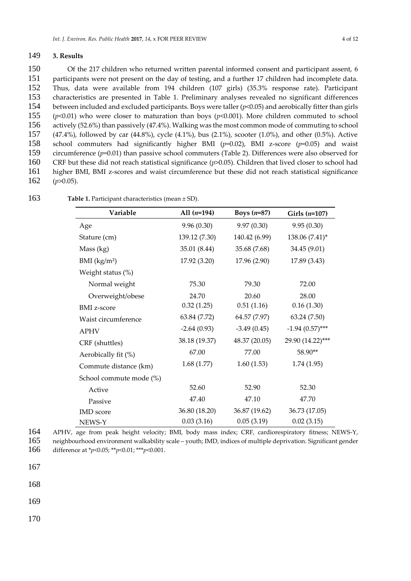#### 149 **3. Results**

 Of the 217 children who returned written parental informed consent and participant assent, 6 participants were not present on the day of testing, and a further 17 children had incomplete data. Thus, data were available from 194 children (107 girls) (35.3% response rate). Participant characteristics are presented in Table 1. Preliminary analyses revealed no significant differences between included and excluded participants. Boys were taller (*p*<0.05) and aerobically fitter than girls (*p*<0.01) who were closer to maturation than boys (*p*<0.001). More children commuted to school actively (52.6%) than passively (47.4%). Walking was the most common mode of commuting to school (47.4%), followed by car (44.8%), cycle (4.1%), bus (2.1%), scooter (1.0%), and other (0.5%). Active school commuters had significantly higher BMI (*p*=0.02), BMI z-score (*p*=0.05) and waist circumference (*p*=0.01) than passive school commuters (Table 2). Differences were also observed for CRF but these did not reach statistical significance (*p*>0.05). Children that lived closer to school had higher BMI, BMI z-scores and waist circumference but these did not reach statistical significance (*p*>0.05).

| Variable                 | All $(n=194)$ | Boys $(n=87)$ | Girls $(n=107)$   |
|--------------------------|---------------|---------------|-------------------|
| Age                      | 9.96(0.30)    | 9.97(0.30)    | 9.95(0.30)        |
| Stature (cm)             | 139.12 (7.30) | 140.42 (6.99) | 138.06 (7.41)*    |
| Mass (kg)                | 35.01 (8.44)  | 35.68 (7.68)  | 34.45 (9.01)      |
| BMI (kg/m <sup>2</sup> ) | 17.92 (3.20)  | 17.96 (2.90)  | 17.89 (3.43)      |
| Weight status (%)        |               |               |                   |
| Normal weight            | 75.30         | 79.30         | 72.00             |
| Overweight/obese         | 24.70         | 20.60         | 28.00             |
| <b>BMI</b> z-score       | 0.32(1.25)    | 0.51(1.16)    | 0.16(1.30)        |
| Waist circumference      | 63.84 (7.72)  | 64.57 (7.97)  | 63.24(7.50)       |
| <b>APHV</b>              | $-2.64(0.93)$ | $-3.49(0.45)$ | $-1.94(0.57)$ *** |
| CRF (shuttles)           | 38.18 (19.37) | 48.37 (20.05) | 29.90 (14.22)***  |
| Aerobically fit (%)      | 67.00         | 77.00         | 58.90**           |
| Commute distance (km)    | 1.68(1.77)    | 1.60(1.53)    | 1.74(1.95)        |
| School commute mode (%)  |               |               |                   |
| Active                   | 52.60         | 52.90         | 52.30             |
| Passive                  | 47.40         | 47.10         | 47.70             |
| <b>IMD</b> score         | 36.80 (18.20) | 36.87 (19.62) | 36.73 (17.05)     |
| NEWS-Y                   | 0.03(3.16)    | 0.05(3.19)    | 0.02(3.15)        |

163 **Table 1.** Participant characteristics (mean ± SD).

164 APHV, age from peak height velocity; BMI, body mass index; CRF, cardiorespiratory fitness; NEWS-Y, 165 neighbourhood environment walkability scale – youth; IMD, indices of multiple deprivation. Significant gender 166 difference at \**p*<0.05; \*\**p*<0.01; \*\*\**p*<0.001.

167

168

169

170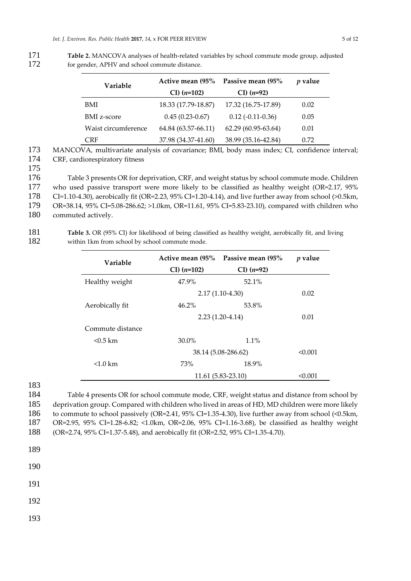171 **Table 2.** MANCOVA analyses of health-related variables by school commute mode group, adjusted 172 for gender, APHV and school commute distance.

| Variable            | Active mean (95%       | Passive mean (95%     | $p$ value |
|---------------------|------------------------|-----------------------|-----------|
|                     | $CI)$ ( <i>n</i> =102) | $CI)$ ( <i>n</i> =92) |           |
| BMI                 | 18.33 (17.79-18.87)    | 17.32 (16.75-17.89)   | 0.02      |
| <b>BMI</b> z-score  | $0.45(0.23-0.67)$      | $0.12(-0.11-0.36)$    | 0.05      |
| Waist circumference | 64.84 (63.57-66.11)    | 62.29 (60.95-63.64)   | 0.01      |
| <b>CRF</b>          | 37.98 (34.37-41.60)    | 38.99 (35.16-42.84)   | 0.72      |

173 MANCOVA, multivariate analysis of covariance; BMI, body mass index; CI, confidence interval; 174 CRF, cardiorespiratory fitness

175

176 Table 3 presents OR for deprivation, CRF, and weight status by school commute mode. Children

- 177 who used passive transport were more likely to be classified as healthy weight (OR=2.17, 95%
- 178 CI=1.10-4.30), aerobically fit (OR=2.23, 95% CI=1.20-4.14), and live further away from school (>0.5km,
- 179 OR=38.14, 95% CI=5.08-286.62; >1.0km, OR=11.61, 95% CI=5.83-23.10), compared with children who
- 180 commuted actively.

181 **Table 3.** OR (95% CI) for likelihood of being classified as healthy weight, aerobically fit, and living 182 within 1km from school by school commute mode.

| Variable           | Active mean (95%       | Passive mean (95%     | $p$ value |
|--------------------|------------------------|-----------------------|-----------|
|                    | $CI)$ ( <i>n</i> =102) | $CI)$ ( <i>n</i> =92) |           |
| Healthy weight     | 47.9%                  | $52.1\%$              |           |
|                    | $2.17(1.10-4.30)$      |                       | 0.02      |
| Aerobically fit    | $46.2\%$               | 53.8%                 |           |
|                    | $2.23(1.20-4.14)$      | 0.01                  |           |
| Commute distance   |                        |                       |           |
| $< 0.5$ km         | $30.0\%$               | $1.1\%$               |           |
|                    | 38.14 (5.08-286.62)    | < 0.001               |           |
| $< 1.0 \text{ km}$ | 73%                    | 18.9%                 |           |
|                    | $11.61(5.83-23.10)$    | < 0.001               |           |

183

 Table 4 presents OR for school commute mode, CRF, weight status and distance from school by deprivation group. Compared with children who lived in areas of HD, MD children were more likely to commute to school passively (OR=2.41, 95% CI=1.35-4.30), live further away from school (<0.5km, OR=2.95, 95% CI=1.28-6.82; <1.0km, OR=2.06, 95% CI=1.16-3.68), be classified as healthy weight (OR=2.74, 95% CI=1.37-5.48), and aerobically fit (OR=2.52, 95% CI=1.35-4.70).

189

190

191

192

193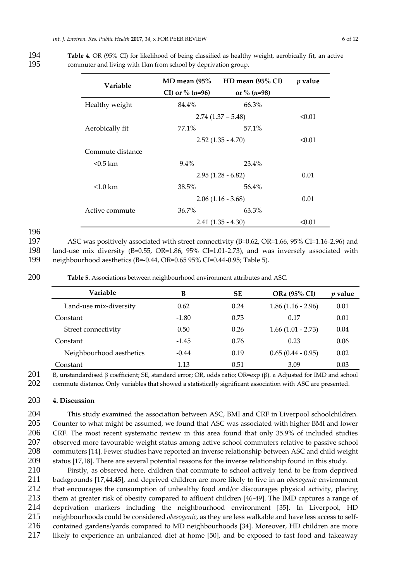| <b>Variable</b>    | $MD$ mean (95%)     | HD mean (95% CI)    | $p$ value |
|--------------------|---------------------|---------------------|-----------|
|                    | CI) or % $(n=96)$   | or % $(n=98)$       |           |
| Healthy weight     | 84.4%               | 66.3%               |           |
|                    |                     | $2.74(1.37 - 5.48)$ |           |
| Aerobically fit    | 77.1%               | 57.1%               |           |
|                    | $2.52(1.35 - 4.70)$ |                     | < 0.01    |
| Commute distance   |                     |                     |           |
| $< 0.5$ km         | $9.4\%$             | 23.4%               |           |
|                    | $2.95(1.28 - 6.82)$ |                     | 0.01      |
| $< 1.0 \text{ km}$ | 38.5%               | 56.4%               |           |
|                    | $2.06(1.16 - 3.68)$ | 0.01                |           |
| Active commute     | $36.7\%$            | 63.3%               |           |
|                    | $2.41(1.35 - 4.30)$ |                     | < 0.01    |

194 **Table 4.** OR (95% CI) for likelihood of being classified as healthy weight, aerobically fit, an active 195 commuter and living with 1km from school by deprivation group.

196

197 ASC was positively associated with street connectivity (B=0.62, OR=1.66, 95% CI=1.16-2.96) and 198 land-use mix diversity (B=0.55, OR=1.86, 95% CI=1.01-2.73), and was inversely associated with 199 neighbourhood aesthetics (B=-0.44, OR=0.65 95% CI=0.44-0.95; Table 5).

200 **Table 5.** Associations between neighbourhood environment attributes and ASC.

| Variable                 | в       | <b>SE</b> | ORa (95% CI)        | <i>v</i> value |
|--------------------------|---------|-----------|---------------------|----------------|
| Land-use mix-diversity   | 0.62    | 0.24      | $1.86(1.16 - 2.96)$ | 0.01           |
| Constant                 | $-1.80$ | 0.73      | 0.17                | 0.01           |
| Street connectivity      | 0.50    | 0.26      | $1.66(1.01 - 2.73)$ | 0.04           |
| Constant                 | $-1.45$ | 0.76      | 0.23                | 0.06           |
| Neighbourhood aesthetics | $-0.44$ | 0.19      | $0.65(0.44 - 0.95)$ | 0.02           |
| Constant                 | 1.13    | 0.51      | 3.09                | 0.03           |

201 B, unstandardised  $\beta$  coefficient; SE, standard error; OR, odds ratio; OR=exp ( $\beta$ ). a Adjusted for IMD and school

202 commute distance. Only variables that showed a statistically significant association with ASC are presented.

### 203 **4. Discussion**

 This study examined the association between ASC, BMI and CRF in Liverpool schoolchildren. Counter to what might be assumed, we found that ASC was associated with higher BMI and lower CRF. The most recent systematic review in this area found that only 35.9% of included studies 207 observed more favourable weight status among active school commuters relative to passive school commuters [14]. Fewer studies have reported an inverse relationship between ASC and child weight status [17,18]. There are several potential reasons for the inverse relationship found in this study.

 Firstly, as observed here, children that commute to school actively tend to be from deprived backgrounds [17,44,45], and deprived children are more likely to live in an *obesogenic* environment that encourages the consumption of unhealthy food and/or discourages physical activity, placing 213 them at greater risk of obesity compared to affluent children [46-49]. The IMD captures a range of deprivation markers including the neighbourhood environment [35]. In Liverpool. HD deprivation markers including the neighbourhood environment [35]. In Liverpool, HD 215 neighbourhoods could be considered *obesogenic*, as they are less walkable and have less access to self-<br>216 contained gardens/vards compared to MD peighbourhoods [34] Moreover, HD children are more contained gardens/yards compared to MD neighbourhoods [34]. Moreover, HD children are more likely to experience an unbalanced diet at home [50], and be exposed to fast food and takeaway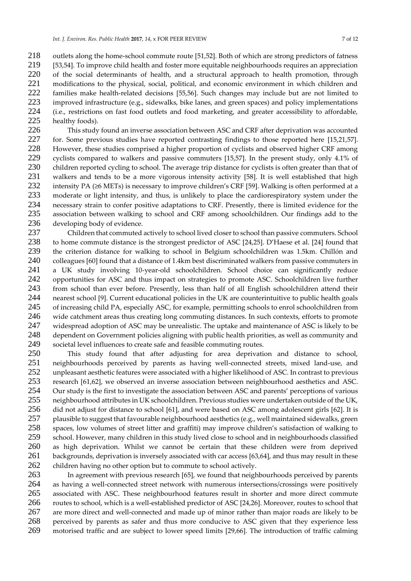218 outlets along the home-school commute route [51,52]. Both of which are strong predictors of fatness 219 [53,54]. To improve child health and foster more equitable neighbourhoods requires an appreciation [53,54]. To improve child health and foster more equitable neighbourhoods requires an appreciation 220 of the social determinants of health, and a structural approach to health promotion, through modifications to the physical, social, political, and economic environment in which children and modifications to the physical, social, political, and economic environment in which children and families make health-related decisions [55,56]. Such changes may include but are not limited to improved infrastructure (e.g., sidewalks, bike lanes, and green spaces) and policy implementations (i.e., restrictions on fast food outlets and food marketing, and greater accessibility to affordable, healthy foods).

 This study found an inverse association between ASC and CRF after deprivation was accounted for. Some previous studies have reported contrasting findings to those reported here [15,21,57]. However, these studies comprised a higher proportion of cyclists and observed higher CRF among cyclists compared to walkers and passive commuters [15,57]. In the present study, only 4.1% of children reported cycling to school. The average trip distance for cyclists is often greater than that of 231 walkers and tends to be a more vigorous intensity activity [58]. It is well established that high intensity  $PA$  ( $\geq 6$  METs) is necessary to improve children's CRF [59]. Walking is often performed at a 232 intensity PA ( $\geq$ 6 METs) is necessary to improve children's CRF [59]. Walking is often performed at a<br>233 moderate or light intensity, and thus, is unlikely to place the cardiorespiratory system under the moderate or light intensity, and thus, is unlikely to place the cardiorespiratory system under the necessary strain to confer positive adaptations to CRF. Presently, there is limited evidence for the association between walking to school and CRF among schoolchildren. Our findings add to the 236 developing body of evidence.<br>237 Children that commuted

 Children that commuted actively to school lived closer to school than passive commuters. School to home commute distance is the strongest predictor of ASC [24,25]. D'Haese et al. [24] found that 239 the criterion distance for walking to school in Belgium schoolchildren was 1.5km. Chillón and<br>240 colleagues [60] found that a distance of 1.4km best discriminated walkers from passive commuters in colleagues [60] found that a distance of 1.4km best discriminated walkers from passive commuters in a UK study involving 10-year-old schoolchildren. School choice can significantly reduce opportunities for ASC and thus impact on strategies to promote ASC. Schoolchildren live further from school than ever before. Presently, less than half of all English schoolchildren attend their 244 nearest school [9]. Current educational policies in the UK are counterintuitive to public health goals<br>245 of increasing child PA, especially ASC, for example, permitting schools to enrol schoolchildren from of increasing child PA, especially ASC, for example, permitting schools to enrol schoolchildren from wide catchment areas thus creating long commuting distances. In such contexts, efforts to promote widespread adoption of ASC may be unrealistic. The uptake and maintenance of ASC is likely to be 248 dependent on Government policies aligning with public health priorities, as well as community and<br>249 societal level influences to create safe and feasible commuting routes. societal level influences to create safe and feasible commuting routes.

 This study found that after adjusting for area deprivation and distance to school, neighbourhoods perceived by parents as having well-connected streets, mixed land-use, and 252 unpleasant aesthetic features were associated with a higher likelihood of ASC. In contrast to previous<br>253 research [61.62], we observed an inverse association between neighbourhood aesthetics and ASC. 253 research [61,62], we observed an inverse association between neighbourhood aesthetics and ASC.<br>254 Our study is the first to investigate the association between ASC and parents' perceptions of various Our study is the first to investigate the association between ASC and parents' perceptions of various neighbourhood attributes in UK schoolchildren. Previous studies were undertaken outside of the UK, did not adjust for distance to school [61], and were based on ASC among adolescent girls [62]. It is plausible to suggest that favourable neighbourhood aesthetics (e.g., well maintained sidewalks, green 258 spaces, low volumes of street litter and graffiti) may improve children's satisfaction of walking to<br>259 school. However, many children in this study lived close to school and in neighbourhoods classified school. However, many children in this study lived close to school and in neighbourhoods classified as high deprivation. Whilst we cannot be certain that these children were from deprived 261 backgrounds, deprivation is inversely associated with car access [63,64], and thus may result in these children having no other option but to commute to school actively.

 In agreement with previous research [65], we found that neighbourhoods perceived by parents as having a well-connected street network with numerous intersections/crossings were positively 265 associated with ASC. These neighbourhood features result in shorter and more direct commute<br>266 routes to school, which is a well-established predictor of ASC [24,26]. Moreover, routes to school that routes to school, which is a well-established predictor of ASC [24,26]. Moreover, routes to school that are more direct and well-connected and made up of minor rather than major roads are likely to be perceived by parents as safer and thus more conducive to ASC given that they experience less motorised traffic and are subject to lower speed limits [29,66]. The introduction of traffic calming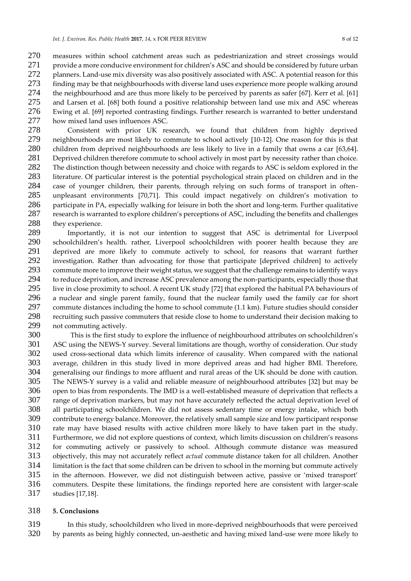measures within school catchment areas such as pedestrianization and street crossings would 271 provide a more conducive environment for children's ASC and should be considered by future urban 272 planners. Land-use mix diversity was also positively associated with ASC. A potential reason for this finding may be that neighbourhoods with diverse land uses experience more people walking around the neighbourhood and are thus more likely to be perceived by parents as safer [67]. Kerr et al. [61] and Larsen et al. [68] both found a positive relationship between land use mix and ASC whereas Ewing et al. [69] reported contrasting findings. Further research is warranted to better understand how mixed land uses influences ASC.

 Consistent with prior UK research, we found that children from highly deprived neighbourhoods are most likely to commute to school actively [10-12]. One reason for this is that children from deprived neighbourhoods are less likely to live in a family that owns a car [63,64]. Deprived children therefore commute to school actively in most part by necessity rather than choice. The distinction though between necessity and choice with regards to ASC is seldom explored in the 283 literature. Of particular interest is the potential psychological strain placed on children and in the 284 case of vounger children, their parents, through relying on such forms of transport in often-284 case of younger children, their parents, through relying on such forms of transport in often-<br>285 unpleasant environments [70.71]. This could impact negatively on children's motivation to unpleasant environments [70,71]. This could impact negatively on children's motivation to participate in PA, especially walking for leisure in both the short and long-term. Further qualitative research is warranted to explore children's perceptions of ASC, including the benefits and challenges 288 they experience.

 Importantly, it is not our intention to suggest that ASC is detrimental for Liverpool schoolchildren's health. rather, Liverpool schoolchildren with poorer health because they are 291 deprived are more likely to commute actively to school, for reasons that warrant further<br>292 investigation. Rather than advocating for those that participate [deprived children] to actively investigation. Rather than advocating for those that participate [deprived children] to actively 293 commute more to improve their weight status, we suggest that the challenge remains to identify ways<br>294 to reduce deprivation, and increase ASC prevalence among the non-participants, especially those that to reduce deprivation, and increase ASC prevalence among the non-participants, especially those that live in close proximity to school. A recent UK study [72] that explored the habitual PA behaviours of 296 a nuclear and single parent family, found that the nuclear family used the family car for short<br>297 commute distances including the home to school commute (1.1 km). Future studies should consider commute distances including the home to school commute (1.1 km). Future studies should consider recruiting such passive commuters that reside close to home to understand their decision making to not commuting actively.

300 This is the first study to explore the influence of neighbourhood attributes on schoolchildren's<br>301 ASC using the NEWS-Y survey. Several limitations are though, worthy of consideration. Our study ASC using the NEWS-Y survey. Several limitations are though, worthy of consideration. Our study used cross-sectional data which limits inference of causality. When compared with the national average, children in this study lived in more deprived areas and had higher BMI. Therefore, generalising our findings to more affluent and rural areas of the UK should be done with caution. The NEWS-Y survey is a valid and reliable measure of neighbourhood attributes [32] but may be open to bias from respondents. The IMD is a well-established measure of deprivation that reflects a range of deprivation markers, but may not have accurately reflected the actual deprivation level of all participating schoolchildren. We did not assess sedentary time or energy intake, which both contribute to energy balance. Moreover, the relatively small sample size and low participant response 310 rate may have biased results with active children more likely to have taken part in the study.<br>311 Furthermore, we did not explore questions of context, which limits discussion on children's reasons Furthermore, we did not explore questions of context, which limits discussion on children's reasons for commuting actively or passively to school. Although commute distance was measured objectively, this may not accurately reflect *actual* commute distance taken for all children. Another 314 limitation is the fact that some children can be driven to school in the morning but commute actively<br>315 in the afternoon. However, we did not distinguish between active, passive or 'mixed transport' in the afternoon. However, we did not distinguish between active, passive or 'mixed transport' commuters. Despite these limitations, the findings reported here are consistent with larger-scale studies [17,18].

#### **5. Conclusions**

 In this study, schoolchildren who lived in more-deprived neighbourhoods that were perceived by parents as being highly connected, un-aesthetic and having mixed land-use were more likely to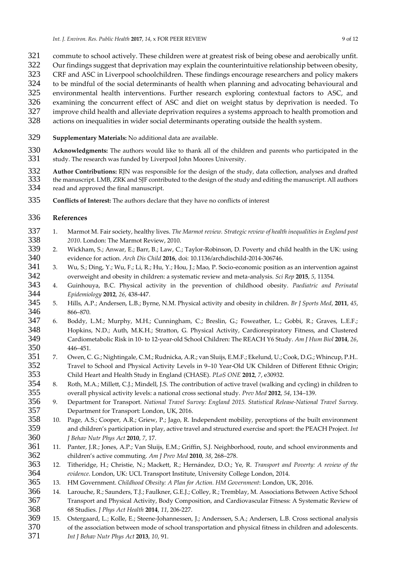- 321 commute to school actively. These children were at greatest risk of being obese and aerobically unfit.<br>322 Our findings suggest that deprivation may explain the counterintuitive relationship between obesity,
- Our findings suggest that deprivation may explain the counterintuitive relationship between obesity,
- CRF and ASC in Liverpool schoolchildren. These findings encourage researchers and policy makers
- to be mindful of the social determinants of health when planning and advocating behavioural and
- environmental health interventions. Further research exploring contextual factors to ASC, and
- examining the concurrent effect of ASC and diet on weight status by deprivation is needed. To
- improve child health and alleviate deprivation requires a systems approach to health promotion and
- actions on inequalities in wider social determinants operating outside the health system.
- **Supplementary Materials:** No additional data are available.
- **Acknowledgments:** The authors would like to thank all of the children and parents who participated in the study. The research was funded by Liverpool John Moores University.
- **Author Contributions:** RJN was responsible for the design of the study, data collection, analyses and drafted<br>333 the manuscript. LMB. ZRK and SIF contributed to the design of the study and editing the manuscript. All aut 333 the manuscript. LMB, ZRK and SJF contributed to the design of the study and editing the manuscript. All authors read and approved the final manuscript. read and approved the final manuscript.
- **Conflicts of Interest:** The authors declare that they have no conflicts of interest

#### **References**

- 1. Marmot M. Fair society, healthy lives. *The Marmot review. Strategic review of health inequalities in England post 2010*. London: The Marmot Review, 2010.
- 2. Wickham, S.; Anwar, E.; Barr, B.; Law, C.; Taylor-Robinson, D. Poverty and child health in the UK: using evidence for action. *Arch Dis Child* **2016**, doi: 10.1136/archdischild-2014-306746.
- 341 3. Wu, S.; Ding, Y.; Wu, F.; Li, R.; Hu, Y.; Hou, J.; Mao, P. Socio-economic position as an intervention against<br>342 overweight and obesity in children: a systematic review and meta-analysis. *Sci Rev* 2015. 5. 11354. overweight and obesity in children: a systematic review and meta-analysis. *Sci Rep* **2015**, *5*, 11354.
- 4. Guinhouya, B.C. Physical activity in the prevention of childhood obesity. *Paediatric and Perinatal Epidemiology* **2012**, *26*, 438-447.
- 5. Hills, A.P.; Andersen, L.B.; Byrne, N.M. Physical activity and obesity in children. *Br J Sports Med*, **2011**, *45*, 346 866–870.<br>347 6. Boddy,
- 6. Boddy, L.M.; Murphy, M.H.; Cunningham, C.; Breslin, G.; Foweather, L.; Gobbi, R.; Graves, L.E.F.; Hopkins, N.D.; Auth, M.K.H.; Stratton, G. Physical Activity, Cardiorespiratory Fitness, and Clustered Cardiometabolic Risk in 10- to 12-year-old School Children: The REACH Y6 Study. *Am J Hum Biol* **2014**, *26*, 446–451.
- 7. Owen, C. G.; Nightingale, C.M.; Rudnicka, A.R.; van Sluijs, E.M.F.; Ekelund, U.; Cook, D.G.; Whincup, P.H.. Travel to School and Physical Activity Levels in 9–10 Year-Old UK Children of Different Ethnic Origin; Child Heart and Health Study in England (CHASE). *PLoS ONE* **2012**, *7*, e30932.
- 8. Roth, M.A.; Millett, C.J.; Mindell, J.S. The contribution of active travel (walking and cycling) in children to overall physical activity levels: a national cross sectional study. *Prev Med* **2012**, *54*, 134–139.
- 9. Department for Transport. *National Travel Survey: England 2015. Statistical Release-National Travel Survey*. Department for Transport: London, UK, 2016.
- 10. Page, A.S.; Cooper, A.R.; Griew, P.; Jago, R. Independent mobility, perceptions of the built environment and children's participation in play, active travel and structured exercise and sport: the PEACH Project. *Int J Behav Nutr Phys Act* **2010**, *7*, 17.
- 11. Panter, J.R.; Jones, A.P.; Van Sluijs, E.M.; Griffin, S.J. Neighborhood, route, and school environments and children's active commuting. *Am J Prev Med* **2010**, *38*, 268–278.
- 12. Titheridge, H.; Christie, N.; Mackett, R.; Hernández, D.O.; Ye, R. *Transport and Poverty: A review of the evidence*. London, UK: UCL Transport Institute, University College London, 2014.
- 13. HM Government. *Childhood Obesity: A Plan for Action. HM Government*: London, UK, 2016.
- 14. Larouche, R.; Saunders, T.J.; Faulkner, G.E.J.; Colley, R.; Tremblay, M. Associations Between Active School Transport and Physical Activity, Body Composition, and Cardiovascular Fitness: A Systematic Review of 68 Studies. *J Phys Act Health* **2014**, *11*, 206-227.
- 15. Ostergaard, L.; Kolle, E.; Steene-Johannessen, J.; Anderssen, S.A.; Andersen, L.B. Cross sectional analysis of the association between mode of school transportation and physical fitness in children and adolescents. *Int J Behav Nutr Phys Act* **2013**, *10*, 91.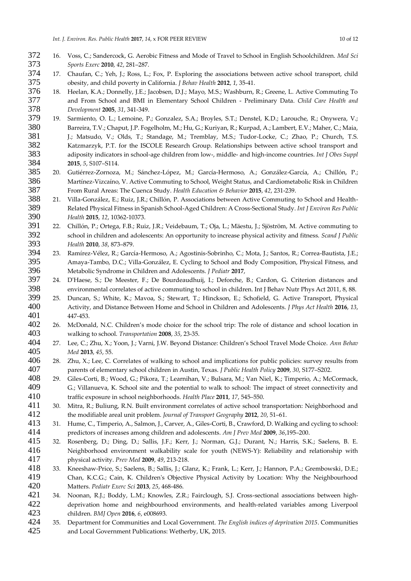- 16. Voss, C.; Sandercock, G. Aerobic Fitness and Mode of Travel to School in English Schoolchildren. *Med Sci Sports Exerc* **2010**, *42*, 281–287.
- 17. Chaufan, C.; Yeh, J.; Ross, L.; Fox, P. Exploring the associations between active school transport, child obesity, and child poverty in California. *J Behav Health* **2012**, *1*, 35-41.
- 18. Heelan, K.A.; Donnelly, J.E.; Jacobsen, D.J.; Mayo, M.S.; Washburn, R.; Greene, L. Active Commuting To and From School and BMI in Elementary School Children - Preliminary Data. *Child Care Health and Development* **2005**, *31*, 341-349.
- 19. Sarmiento, O. L.; Lemoine, P.; Gonzalez, S.A.; Broyles, S.T.; Denstel, K.D.; Larouche, R.; Onywera, V.; Barreira, T.V.; Chaput, J.P. Fogelholm, M.; Hu, G.; Kuriyan, R.; Kurpad, A.; Lambert, E.V.; Maher, C.; Maia, 381 J.; Matsudo, V.; Olds, T.; Standage, M.; Tremblay, M.S.; Tudor-Locke, C.; Zhao, P.; Church, T.S. Katzmarzyk, P.T. for the ISCOLE Research Group. Relationships between active school transport and adiposity indicators in school-age children from low-, middle- and high-income countries. *Int J Obes Suppl* **2015**, *5*, S107–S114.
- 20. Gutiérrez-Zornoza, M.; Sánchez-López, M.; García-Hermoso, A.; González-García, A.; Chillón, P.; Martínez-Vizcaíno, V. Active Commuting to School, Weight Status, and Cardiometabolic Risk in Children From Rural Areas: The Cuenca Study. *Health Education & Behavior* **2015**, *42*, 231-239.
- 21. Villa-González, E.; Ruiz, J.R.; Chillón, P. Associations between Active Commuting to School and Health- Related Physical Fitness in Spanish School-Aged Children: A Cross-Sectional Study. *Int J Environ Res Public Health* **2015**, *12*, 10362-10373.
- 22. Chillón, P.; Ortega, F.B.; Ruiz, J.R.; Veidebaum, T.; Oja, L.; Mäestu, J.; Sjöström, M. Active commuting to school in children and adolescents: An opportunity to increase physical activity and fitness. *Scand J Public Health* **2010**, *38*, 873–879.
- 23. Ramírez-Vélez, R.; García-Hermoso, A.; Agostinis-Sobrinho, C.; Mota, J.; Santos, R.; Correa-Bautista, J.E.; Amaya-Tambo, D.C.; Villa-González, E. Cycling to School and Body Composition, Physical Fitness, and Metabolic Syndrome in Children and Adolescents. *J Pediatr* **2017**,
- 24. D'Haese, S.; De Meester, F.; De Bourdeaudhuij, I.; Deforche, B.; Cardon, G. Criterion distances and environmental correlates of active commuting to school in children. Int J Behav Nutr Phys Act 2011, 8, 88.
- 25. Duncan, S.; White, K.; Mavoa, S.; Stewart, T.; Hinckson, E.; Schofield, G. Active Transport, Physical Activity, and Distance Between Home and School in Children and Adolescents. *J Phys Act Health* **2016**, *13*, 447-453.
- 26. McDonald, N.C. Children's mode choice for the school trip: The role of distance and school location in walking to school. *Transportation* **2008**, *35*, 23-35.
- 27. Lee, C.; Zhu, X.; Yoon, J.; Varni, J.W. Beyond Distance: Children's School Travel Mode Choice. *Ann Behav Med* **2013**, *45*, 55.
- 406 28. Zhu, X.; Lee, C. Correlates of walking to school and implications for public policies: survey results from parents of elementary school children in Austin, Texas. *J Public Health Policy* **2009**, *30*, S177–S202.
- 29. Giles-Corti, B.; Wood, G.; Pikora, T.; Learnihan, V.; Bulsara, M.; Van Niel, K.; Timperio, A.; McCormack, G.; Villanueva, K. School site and the potential to walk to school: The impact of street connectivity and traffic exposure in school neighborhoods. *Health Place* **2011**, *17*, 545–550.
- 30. Mitra, R.; Buliung, R.N. Built environment correlates of active school transportation: Neighborhood and the modifiable areal unit problem. *Journal of Transport Geography* **2012**, *20*, 51–61.
- 31. Hume, C., Timperio, A., Salmon, J., Carver, A., Giles-Corti, B., Crawford, D. Walking and cycling to school: predictors of increases among children and adolescents. *Am J Prev Med* **2009**, *36*,195–200.
- 32. Rosenberg, D.; Ding, D.; Sallis, J.F.; Kerr, J.; Norman, G.J.; Durant, N.; Harris, S.K.; Saelens, B. E. Neighborhood environment walkability scale for youth (NEWS-Y): Reliability and relationship with physical activity. *Prev Med* **2009**, *49*, 213-218.
- 33. Kneeshaw-Price, S.; Saelens, B.; Sallis, J.; Glanz, K.; Frank, L.; Kerr, J.; Hannon, P.A.; Grembowski, D.E.; Chan, K.C.G.; Cain, K. Children's Objective Physical Activity by Location: Why the Neighbourhood Matters. *Pediatr Exerc Sci* **2013**, *25*, 468-486.
- 34. Noonan, R.J.; Boddy, L.M.; Knowles, Z.R.; Fairclough, S.J. Cross-sectional associations between high- deprivation home and neighbourhood environments, and health-related variables among Liverpool children. *BMJ Open* **2016**, *6*, e008693.
- 35. Department for Communities and Local Government. *The English indices of deprivation 2015*. Communities and Local Government Publications: Wetherby, UK, 2015.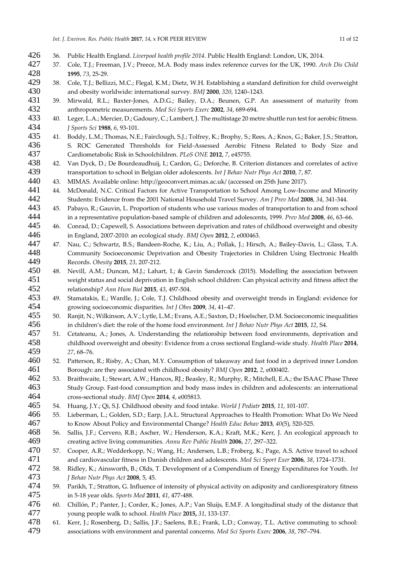- 36. Public Health England. *Liverpool health profile 2014*. Public Health England: London, UK, 2014.
- 37. Cole, T.J.; Freeman, J.V.; Preece, M.A. Body mass index reference curves for the UK, 1990. *Arch Dis Child* **1995**, *73*, 25-29.
- 38. Cole, T.J.; Bellizzi, M.C.; Flegal, K.M.; Dietz, W.H. Establishing a standard definition for child overweight and obesity worldwide: international survey. *BMJ* **2000**, *320*, 1240–1243.
- 39. Mirwald, R.L.; Baxter-Jones, A.D.G.; Bailey, D.A.; Beunen, G.P. An assessment of maturity from anthropometric measurements. *Med Sci Sports Exerc* **2002**, *34*, 689-694.
- 40. Leger, L.A.; Mercier, D.; Gadoury, C.; Lambert, J. The multistage 20 metre shuttle run test for aerobic fitness. *J Sports Sci* **1988**, *6*, 93-101.
- 41. Boddy, L.M.; Thomas, N.E.; Fairclough, S.J.; Tolfrey, K.; Brophy, S.; Rees, A.; Knox, G.; Baker, J.S.; Stratton, S. ROC Generated Thresholds for Field-Assessed Aerobic Fitness Related to Body Size and Cardiometabolic Risk in Schoolchildren. *PLoS ONE* **2012**, *7*, e45755.
- 42. Van Dyck, D.; De Bourdeaudhuij, I.; Cardon, G.; Deforche, B. Criterion distances and correlates of active transportation to school in Belgian older adolescents. *Int J Behav Nutr Phys Act* **2010**, *7*, 87.
- 43. MIMAS. Available online: http://geoconvert.mimas.ac.uk/ (accessed on 25th June 2017).
- 44. McDonald, N.C. Critical Factors for Active Transportation to School Among Low-Income and Minority Students: Evidence from the 2001 National Household Travel Survey. *Am J Prev Med* **2008**, *34*, 341-344.
- 45. Pabayo, R.; Gauvin, L. Proportion of students who use various modes of transportation to and from school in a representative population-based sample of children and adolescents, 1999. *Prev Med* **2008**, *46*, 63–66.
- 445 46. Conrad, D.; Capewell, S. Associations between deprivation and rates of childhood overweight and obesity in England, 2007-2010: an ecological study. *BMJ Open* **2012**, *2*, e000463.
- 47. Nau, C.; Schwartz, B.S.; Bandeen-Roche, K.; Liu, A.; Pollak, J.; Hirsch, A.; Bailey-Davis, L.; Glass, T.A. Community Socioeconomic Deprivation and Obesity Trajectories in Children Using Electronic Health Records. *Obesity* **2015**, *23*, 207-212.
- 48. Nevill, A.M.; Duncan, M.J.; Lahart, I.; & Gavin Sandercock (2015). Modelling the association between weight status and social deprivation in English school children: Can physical activity and fitness affect the relationship? *Ann Hum Biol* **2015**, *43*, 497-504.
- 49. Stamatakis, E.; Wardle, J.; Cole, T.J. Childhood obesity and overweight trends in England: evidence for growing socioeconomic disparities. *Int J Obes* **2009**, *34*, 41–47.
- 50. Ranjit, N.; Wilkinson, A.V.; Lytle, L.M.; Evans, A.E.; Saxton, D.; Hoelscher, D.M. Socioeconomic inequalities in children's diet: the role of the home food environment. *Int J Behav Nutr Phys Act* **2015**, *12*, S4.
- 51. Cetateanu, A.; Jones, A. Understanding the relationship between food environments, deprivation and childhood overweight and obesity: Evidence from a cross sectional England-wide study. *Health Place* **2014**, *27*, 68–76.
- 52. Patterson, R.; Risby, A.; Chan, M.Y. Consumption of takeaway and fast food in a deprived inner London Borough: are they associated with childhood obesity? *BMJ Open* **2012**, *2*, e000402.
- 53. Braithwaite, I.; Stewart, A.W.; Hancox, RJ.; Beasley, R.; Murphy, R.; Mitchell, E.A.; the ISAAC Phase Three Study Group. Fast-food consumption and body mass index in children and adolescents: an international cross-sectional study. *BMJ Open* **2014**, *4*, e005813.
- 54. Huang, J.Y.; Qi, S.J. Childhood obesity and food intake. *World J Pediatr* **2015**, *11*, 101-107.
- 55. Lieberman, L.; Golden, S.D.; Earp, J.A.L. Structural Approaches to Health Promotion: What Do We Need to Know About Policy and Environmental Change? *Health Educ Behav* **2013**, *40*(5), 520-525.
- 56. Sallis, J.F.; Cervero, R.B.; Ascher, W.; Henderson, K.A.; Kraft, M.K.; Kerr, J. An ecological approach to creating active living communities. *Annu Rev Public Health* **2006**, *27*, 297–322.
- 57. Cooper, A.R.; Wedderkopp, N.; Wang, H.; Andersen, L.B.; Froberg, K.; Page, A.S. Active travel to school and cardiovascular fitness in Danish children and adolescents. *Med Sci Sport Exer* **2006**, *38*, 1724–1731.
- 58. Ridley, K.; Ainsworth, B.; Olds, T. Development of a Compendium of Energy Expenditures for Youth. *Int J Behav Nutr Phys Act* **2008**, 5, 45.
- 59. Parikh, T.; Stratton, G. Influence of intensity of physical activity on adiposity and cardiorespiratory fitness in 5-18 year olds. *Sports Med* **2011**, *41*, 477-488.
- 60. Chillón, P.; Panter, J.; Corder, K.; Jones, A.P.; Van Sluijs, E.M.F. A longitudinal study of the distance that young people walk to school. *Health Place* **2015,** *31*, 133-137.
- 61. Kerr, J.; Rosenberg, D.; Sallis, J.F.; Saelens, B.E.; Frank, L.D.; Conway, T.L. Active commuting to school: associations with environment and parental concerns. *Med Sci Sports Exerc* **2006**, *38*, 787–794.